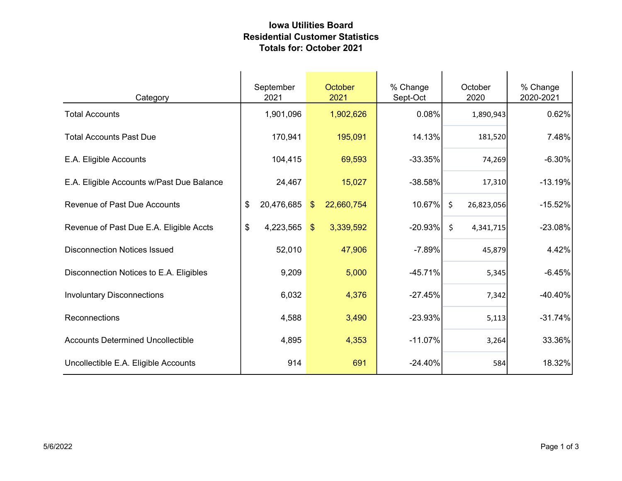## Iowa Utilities Board Residential Customer Statistics Totals for: October 2021

| Category                                  | September<br>2021 | October<br>2021             | % Change<br>Sept-Oct | October<br>2020       | % Change<br>2020-2021 |
|-------------------------------------------|-------------------|-----------------------------|----------------------|-----------------------|-----------------------|
| <b>Total Accounts</b>                     | 1,901,096         | 1,902,626                   | 0.08%                | 1,890,943             | 0.62%                 |
| <b>Total Accounts Past Due</b>            | 170,941           | 195,091                     | 14.13%               | 181,520               | 7.48%                 |
| E.A. Eligible Accounts                    | 104,415           | 69,593                      | $-33.35%$            | 74,269                | $-6.30%$              |
| E.A. Eligible Accounts w/Past Due Balance | 24,467            | 15,027                      | $-38.58%$            | 17,310                | $-13.19%$             |
| <b>Revenue of Past Due Accounts</b>       | 20,476,685<br>\$  | 22,660,754<br>$\sqrt[6]{3}$ | 10.67%               | $\zeta$<br>26,823,056 | $-15.52%$             |
| Revenue of Past Due E.A. Eligible Accts   | \$<br>4,223,565   | 3,339,592<br>$\mathcal{S}$  | $-20.93%$            | $\zeta$<br>4,341,715  | $-23.08%$             |
| <b>Disconnection Notices Issued</b>       | 52,010            | 47,906                      | $-7.89%$             | 45,879                | 4.42%                 |
| Disconnection Notices to E.A. Eligibles   | 9,209             | 5,000                       | $-45.71%$            | 5,345                 | $-6.45%$              |
| <b>Involuntary Disconnections</b>         | 6,032             | 4,376                       | $-27.45%$            | 7,342                 | $-40.40%$             |
| Reconnections                             | 4,588             | 3,490                       | $-23.93%$            | 5,113                 | $-31.74%$             |
| <b>Accounts Determined Uncollectible</b>  | 4,895             | 4,353                       | $-11.07%$            | 3,264                 | 33.36%                |
| Uncollectible E.A. Eligible Accounts      | 914               | 691                         | $-24.40%$            | 584                   | 18.32%                |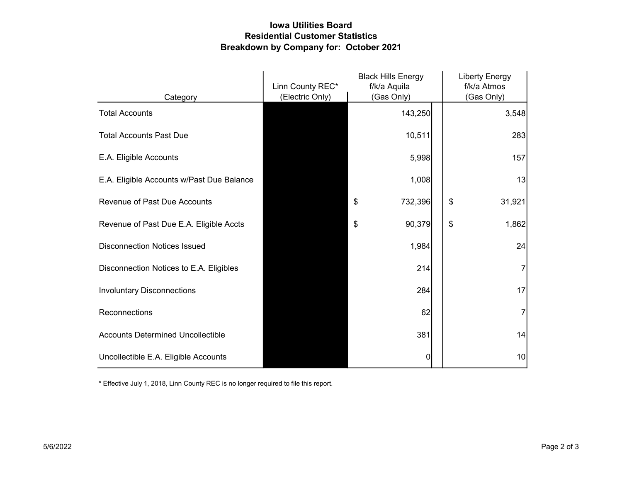## Iowa Utilities Board Residential Customer Statistics Breakdown by Company for: October 2021

|                                           | Linn County REC* | <b>Black Hills Energy</b><br>f/k/a Aquila | <b>Liberty Energy</b><br>f/k/a Atmos |
|-------------------------------------------|------------------|-------------------------------------------|--------------------------------------|
| Category                                  | (Electric Only)  | (Gas Only)                                | (Gas Only)                           |
| <b>Total Accounts</b>                     |                  | 143,250                                   | 3,548                                |
| <b>Total Accounts Past Due</b>            |                  | 10,511                                    | 283                                  |
| E.A. Eligible Accounts                    |                  | 5,998                                     | 157                                  |
| E.A. Eligible Accounts w/Past Due Balance |                  | 1,008                                     | 13                                   |
| <b>Revenue of Past Due Accounts</b>       |                  | \$<br>732,396                             | \$<br>31,921                         |
| Revenue of Past Due E.A. Eligible Accts   |                  | 90,379<br>\$                              | \$<br>1,862                          |
| <b>Disconnection Notices Issued</b>       |                  | 1,984                                     | 24                                   |
| Disconnection Notices to E.A. Eligibles   |                  | 214                                       | 7                                    |
| <b>Involuntary Disconnections</b>         |                  | 284                                       | 17                                   |
| Reconnections                             |                  | 62                                        |                                      |
| <b>Accounts Determined Uncollectible</b>  |                  | 381                                       | 14                                   |
| Uncollectible E.A. Eligible Accounts      |                  | 0                                         | 10                                   |

\* Effective July 1, 2018, Linn County REC is no longer required to file this report.